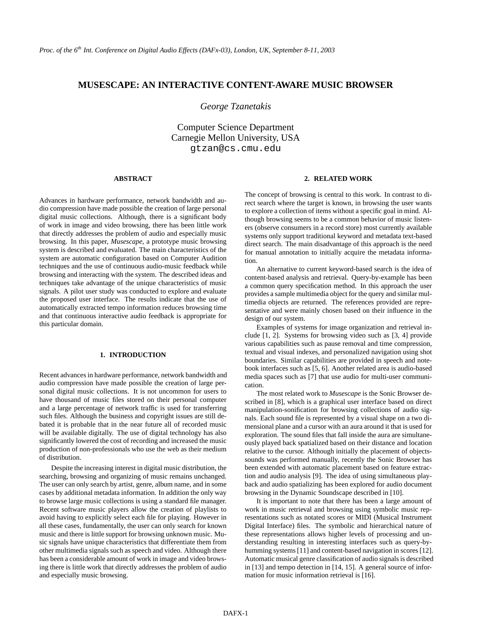# **MUSESCAPE: AN INTERACTIVE CONTENT-AWARE MUSIC BROWSER**

*George Tzanetakis*

Computer Science Department Carnegie Mellon University, USA gtzan@cs.cmu.edu

## **ABSTRACT**

Advances in hardware performance, network bandwidth and audio compression have made possible the creation of large personal digital music collections. Although, there is a significant body of work in image and video browsing, there has been little work that directly addresses the problem of audio and especially music browsing. In this paper, *Musescape*, a prototype music browsing system is described and evaluated. The main characteristics of the system are automatic configuration based on Computer Audition techniques and the use of continuous audio-music feedback while browsing and interacting with the system. The described ideas and techniques take advantage of the unique characteristics of music signals. A pilot user study was conducted to explore and evaluate the proposed user interface. The results indicate that the use of automatically extracted tempo information reduces browsing time and that continuous interactive audio feedback is appropriate for this particular domain.

# **1. INTRODUCTION**

Recent advancesin hardware performance, network bandwidth and audio compression have made possible the creation of large personal digital music collections. It is not uncommon for users to have thousand of music files stored on their personal computer and a large percentage of network traffic is used for transferring such files. Although the business and copyright issues are still debated it is probable that in the near future all of recorded music will be available digitally. The use of digital technology has also significantly lowered the cost of recording and increased the music production of non-professionals who use the web as their medium of distribution.

Despite the increasing interest in digital music distribution, the searching, browsing and organizing of music remains unchanged. The user can only search by artist, genre, album name, and in some cases by additional metadata information. In addition the only way to browse large music collections is using a standard file manager. Recent software music players allow the creation of playlists to avoid having to explicitly select each file for playing. However in all these cases, fundamentally, the user can only search for known music and there is little support for browsing unknown music. Music signals have unique characteristics that differentiate them from other multimedia signals such as speech and video. Although there has been a considerable amount of work in image and video browsing there is little work that directly addresses the problem of audio and especially music browsing.

# **2. RELATED WORK**

The concept of browsing is central to this work. In contrast to direct search where the target is known, in browsing the user wants to explore a collection of items without a specific goal in mind. Although browsing seems to be a common behavior of music listeners (observe consumers in a record store) most currently available systems only support traditional keyword and metadata text-based direct search. The main disadvantage of this approach is the need for manual annotation to initially acquire the metadata information.

An alternative to current keyword-based search is the idea of content-based analysis and retrieval. Query-by-example has been a common query specification method. In this approach the user provides a sample multimedia object for the query and similar multimedia objects are returned. The references provided are representative and were mainly chosen based on their influence in the design of our system.

Examples of systems for image organization and retrieval include [1, 2]. Systems for browsing video such as [3, 4] provide various capabilities such as pause removal and time compression, textual and visual indexes, and personalized navigation using shot boundaries. Similar capabilities are provided in speech and notebook interfaces such as [5, 6]. Another related area is audio-based media spaces such as [7] that use audio for multi-user communication.

The most related work to *Musescape* is the Sonic Browser described in [8], which is a graphical user interface based on direct manipulation-sonification for browsing collections of audio signals. Each sound file is represented by a visual shape on a two dimensional plane and a cursor with an aura around it that is used for exploration. The sound files that fall inside the aura are simultaneously played back spatialized based on their distance and location relative to the cursor. Although initially the placement of objectssounds was performed manually, recently the Sonic Browser has been extended with automatic placement based on feature extraction and audio analysis [9]. The idea of using simultaneous playback and audio spatializing has been explored for audio document browsing in the Dynamic Soundscape described in [10].

It is important to note that there has been a large amount of work in music retrieval and browsing using symbolic music representations such as notated scores or MIDI (Musical Instrument Digital Interface) files. The symbolic and hierarchical nature of these representations allows higher levels of processing and understanding resulting in interesting interfaces such as query-byhumming systems [11] and content-based navigation in scores [12]. Automatic musical genre classification of audio signals is described in [13] and tempo detection in [14, 15]. A general source of information for music information retrieval is [16].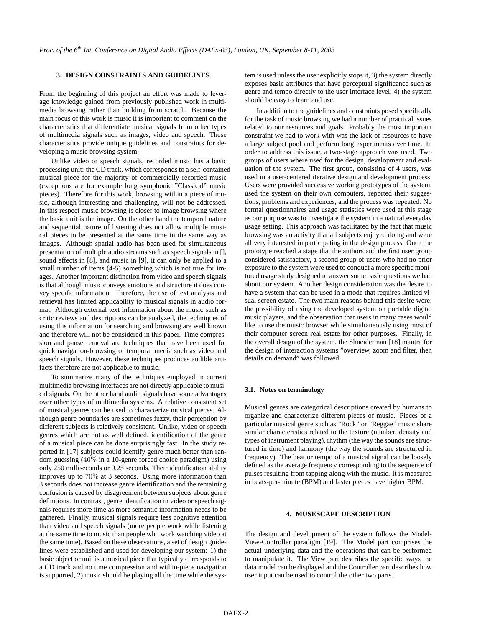# **3. DESIGN CONSTRAINTS AND GUIDELINES**

From the beginning of this project an effort was made to leverage knowledge gained from previously published work in multimedia browsing rather than building from scratch. Because the main focus of this work is music it is important to comment on the characteristics that differentiate musical signals from other types of multimedia signals such as images, video and speech. These characteristics provide unique guidelines and constraints for developing a music browsing system.

Unlike video or speech signals, recorded music has a basic processing unit: the CD track, which corresponds to a self-contained musical piece for the majority of commercially recorded music (exceptions are for example long symphonic "Classical" music pieces). Therefore for this work, browsing within a piece of music, although interesting and challenging, will not be addressed. In this respect music browsing is closer to image browsing where the basic unit is the image. On the other hand the temporal nature and sequential nature of listening does not allow multiple musical pieces to be presented at the same time in the same way as images. Although spatial audio has been used for simultaneous presentation of multiple audio streams such as speech signals in [], sound effects in [8], and music in [9], it can only be applied to a small number of items  $(4-5)$  something which is not true for images. Another important distinction from video and speech signals is that although music conveys emotions and structure it does convey specific information. Therefore, the use of text analysis and retrieval has limited applicability to musical signals in audio format. Although external text information about the music such as critic reviews and descriptions can be analyzed, the techniques of using this information for searching and browsing are well known and therefore will not be considered in this paper. Time compression and pause removal are techniques that have been used for quick navigation-browsing of temporal media such as video and speech signals. However, these techniques produces audible artifacts therefore are not applicable to music.

To summarize many of the techniques employed in current multimedia browsing interfaces are not directly applicable to musical signals. On the other hand audio signals have some advantages over other types of multimedia systems. A relative consistent set of musical genres can be used to characterize musical pieces. Although genre boundaries are sometimes fuzzy, their perception by different subjects is relatively consistent. Unlike, video or speech genres which are not as well defined, identification of the genre of a musical piece can be done surprisingly fast. In the study reported in [17] subjects could identify genre much better than random guessing (40% in a 10-genre forced choice paradigm) using only 250 milliseconds or 0.25 seconds. Their identification ability improves up to 70% at 3 seconds. Using more information than 3 seconds does not increase genre identification and the remaining confusion is caused by disagreement between subjects about genre definitions. In contrast, genre identification in video or speech signals requires more time as more semantic information needs to be gathered. Finally, musical signals require less cognitive attention than video and speech signals (more people work while listening at the same time to music than people who work watching video at the same time). Based on these observations, a set of design guidelines were established and used for developing our system: 1) the basic object or unit is a musical piece that typically corresponds to a CD track and no time compression and within-piece navigation is supported, 2) music should be playing all the time while the system is used unless the user explicitly stops it, 3) the system directly exposes basic attributes that have perceptual significance such as genre and tempo directly to the user interface level, 4) the system should be easy to learn and use.

In addition to the guidelines and constraints posed specifically for the task of music browsing we had a number of practical issues related to our resources and goals. Probably the most important constraint we had to work with was the lack of resources to have a large subject pool and perform long experiments over time. In order to address this issue, a two-stage approach was used. Two groups of users where used for the design, development and evaluation of the system. The first group, consisting of 4 users, was used in a user-centered iterative design and development process. Users were provided successive working prototypes of the system, used the system on their own computers, reported their suggestions, problems and experiences, and the process was repeated. No formal questionnaires and usage statistics were used at this stage as our purpose was to investigate the system in a natural everyday usage setting. This approach was facilitated by the fact that music browsing was an activity that all subjects enjoyed doing and were all very interested in participating in the design process. Once the prototype reached a stage that the authors and the first user group considered satisfactory, a second group of users who had no prior exposure to the system were used to conduct a more specific monitored usage study designed to answer some basic questions we had about our system. Another design consideration was the desire to have a system that can be used in a mode that requires limited visual screen estate. The two main reasons behind this desire were: the possibility of using the developed system on portable digital music players, and the observation that users in many cases would like to use the music browser while simultaneously using most of their computer screen real estate for other purposes. Finally, in the overall design of the system, the Shneiderman [18] mantra for the design of interaction systems "overview, zoom and filter, then details on demand" was followed.

### **3.1. Notes on terminology**

Musical genres are categorical descriptions created by humans to organize and characterize different pieces of music. Pieces of a particular musical genre such as "Rock" or "Reggae" music share similar characteristics related to the texture (number, density and types of instrument playing), rhythm (the way the sounds are structured in time) and harmony (the way the sounds are structured in frequency). The beat or tempo of a musical signal can be loosely defined as the average frequency corresponding to the sequence of pulses resulting from tapping along with the music. It is measured in beats-per-minute (BPM) and faster pieces have higher BPM.

# **4. MUSESCAPE DESCRIPTION**

The design and development of the system follows the Model-View-Controller paradigm [19]. The Model part comprises the actual underlying data and the operations that can be performed to manipulate it. The View part describes the specific ways the data model can be displayed and the Controller part describes how user input can be used to control the other two parts.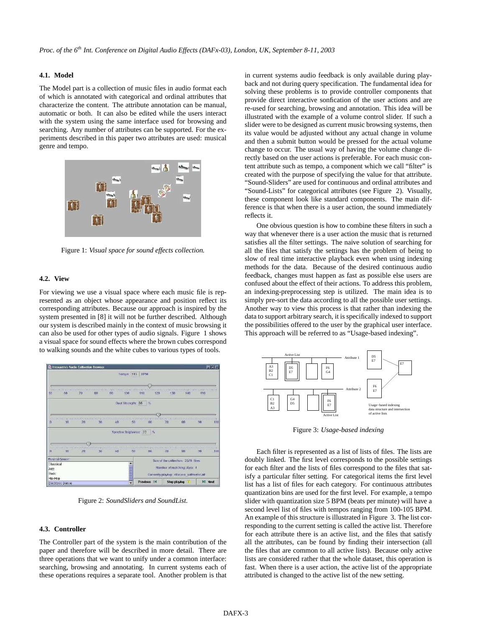# **4.1. Model**

The Model part is a collection of music files in audio format each of which is annotated with categorical and ordinal attributes that characterize the content. The attribute annotation can be manual, automatic or both. It can also be edited while the users interact with the system using the same interface used for browsing and searching. Any number of attributes can be supported. For the experiments described in this paper two attributes are used: musical genre and tempo.



Figure 1: *Visual space for sound effects collection.*

# **4.2. View**

For viewing we use a visual space where each music file is represented as an object whose appearance and position reflect its corresponding attributes. Because our approach is inspired by the system presented in [8] it will not be further described. Although our system is described mainly in the context of music browsing it can also be used for other types of audio signals. Figure 1 shows a visual space for sound effects where the brown cubes correspond to walking sounds and the white cubes to various types of tools.



Figure 2: *SoundSliders and SoundList.*

## **4.3. Controller**

The Controller part of the system is the main contribution of the paper and therefore will be described in more detail. There are three operations that we want to unify under a common interface: searching, browsing and annotating. In current systems each of these operations requires a separate tool. Another problem is that in current systems audio feedback is only available during playback and not during query specification. The fundamental idea for solving these problems is to provide controller components that provide direct interactive sonfication of the user actions and are re-used for searching, browsing and annotation. This idea will be illustrated with the example of a volume control slider. If such a slider were to be designed as current music browsing systems, then its value would be adjusted without any actual change in volume and then a submit button would be pressed for the actual volume change to occur. The usual way of having the volume change directly based on the user actions is preferable. For each music content attribute such as tempo, a component which we call "filter" is created with the purpose of specifying the value for that attribute. "Sound-Sliders" are used for continuous and ordinal attributes and "Sound-Lists" for categorical attributes (see Figure 2). Visually, these component look like standard components. The main difference is that when there is a user action, the sound immediately reflects it.

One obvious question is how to combine these filters in such a way that whenever there is a user action the music that is returned satisfies all the filter settings. The naive solution of searching for all the files that satisfy the settings has the problem of being to slow of real time interactive playback even when using indexing methods for the data. Because of the desired continuous audio feedback, changes must happen as fast as possible else users are confused about the effect of their actions. To address this problem, an indexing-preprocessing step is utilized. The main idea is to simply pre-sort the data according to all the possible user settings. Another way to view this process is that rather than indexing the data to support arbitrary search, it is specifically indexed to support the possibilities offered to the user by the graphical user interface. This approach will be referred to as "Usage-based indexing".



Figure 3: *Usage-based indexing*

Each filter is represented as a list of lists of files. The lists are doubly linked. The first level corresponds to the possible settings for each filter and the lists of files correspond to the files that satisfy a particular filter setting. For categorical items the first level list has a list of files for each category. For continuous attributes quantization bins are used for the first level. For example, a tempo slider with quantization size 5 BPM (beats per minute) will have a second level list of files with tempos ranging from 100-105 BPM. An example of this structure is illustrated in Figure 3. The list corresponding to the current setting is called the active list. Therefore for each attribute there is an active list, and the files that satisfy all the attributes, can be found by finding their intersection (all the files that are common to all active lists). Because only active lists are considered rather that the whole dataset, this operation is fast. When there is a user action, the active list of the appropriate attributed is changed to the active list of the new setting.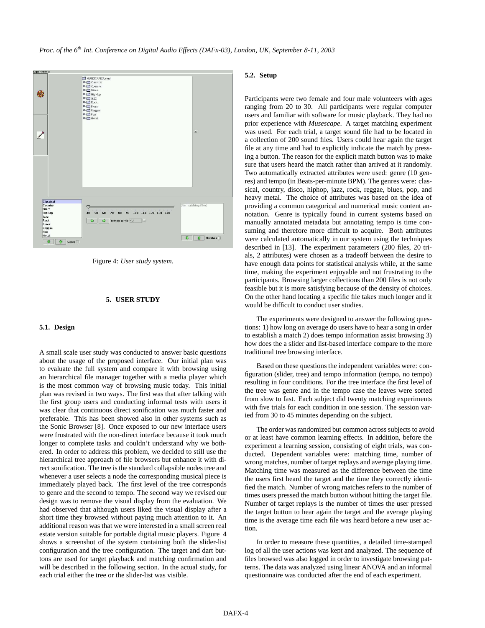

Figure 4: *User study system.*

## **5. USER STUDY**

#### **5.1. Design**

A small scale user study was conducted to answer basic questions about the usage of the proposed interface. Our initial plan was to evaluate the full system and compare it with browsing using an hierarchical file manager together with a media player which is the most common way of browsing music today. This initial plan was revised in two ways. The first was that after talking with the first group users and conducting informal tests with users it was clear that continuous direct sonification was much faster and preferable. This has been showed also in other systems such as the Sonic Browser [8]. Once exposed to our new interface users were frustrated with the non-direct interface because it took much longer to complete tasks and couldn't understand why we bothered. In order to address this problem, we decided to still use the hierarchical tree approach of file browsers but enhance it with direct sonification. The tree is the standard collapsible nodes tree and whenever a user selects a node the corresponding musical piece is immediately played back. The first level of the tree corresponds to genre and the second to tempo. The second way we revised our design was to remove the visual display from the evaluation. We had observed that although users liked the visual display after a short time they browsed without paying much attention to it. An additional reason was that we were interested in a small screen real estate version suitable for portable digital music players. Figure 4 shows a screenshot of the system containing both the slider-list configuration and the tree configuration. The target and dart buttons are used for target playback and matching confirmation and will be described in the following section. In the actual study, for each trial either the tree or the slider-list was visible.

# **5.2. Setup**

Participants were two female and four male volunteers with ages ranging from 20 to 30. All participants were regular computer users and familiar with software for music playback. They had no prior experience with *Musescape*. A target matching experiment was used. For each trial, a target sound file had to be located in a collection of 200 sound files. Users could hear again the target file at any time and had to explicitly indicate the match by pressing a button. The reason for the explicit match button was to make sure that users heard the match rather than arrived at it randomly. Two automatically extracted attributes were used: genre (10 genres) and tempo (in Beats-per-minute BPM). The genres were: classical, country, disco, hiphop, jazz, rock, reggae, blues, pop, and heavy metal. The choice of attributes was based on the idea of providing a common categorical and numerical music content annotation. Genre is typically found in current systems based on manually annotated metadata but annotating tempo is time consuming and therefore more difficult to acquire. Both attributes were calculated automatically in our system using the techniques described in [13]. The experiment parameters (200 files, 20 trials, 2 attributes) were chosen as a tradeoff between the desire to have enough data points for statistical analysis while, at the same time, making the experiment enjoyable and not frustrating to the participants. Browsing larger collections than 200 files is not only feasible but it is more satisfying because of the density of choices. On the other hand locating a specific file takes much longer and it would be difficult to conduct user studies.

The experiments were designed to answer the following questions: 1) how long on average do users have to hear a song in order to establish a match 2) does tempo information assist browsing 3) how does the a slider and list-based interface compare to the more traditional tree browsing interface.

Based on these questions the independent variables were: configuration (slider, tree) and tempo information (tempo, no tempo) resulting in four conditions. For the tree interface the first level of the tree was genre and in the tempo case the leaves were sorted from slow to fast. Each subject did twenty matching experiments with five trials for each condition in one session. The session varied from 30 to 45 minutes depending on the subject.

The order was randomized but common across subjects to avoid or at least have common learning effects. In addition, before the experiment a learning session, consisting of eight trials, was conducted. Dependent variables were: matching time, number of wrong matches, number of target replays and average playing time. Matching time was measured as the difference between the time the users first heard the target and the time they correctly identified the match. Number of wrong matches refers to the number of times users pressed the match button without hitting the target file. Number of target replays is the number of times the user pressed the target button to hear again the target and the average playing time is the average time each file was heard before a new user action.

In order to measure these quantities, a detailed time-stamped log of all the user actions was kept and analyzed. The sequence of files browsed was also logged in order to investigate browsing patterns. The data was analyzed using linear ANOVA and an informal questionnaire was conducted after the end of each experiment.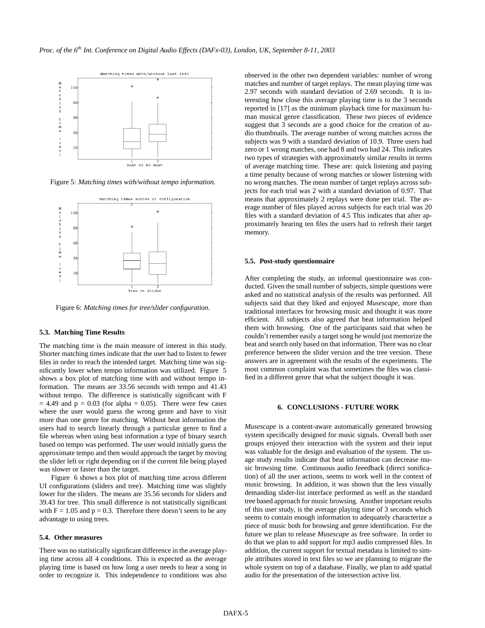

Figure 5: *Matching times with/without tempo information.*



Figure 6: *Matching times for tree/slider configuration.*

## **5.3. Matching Time Results**

The matching time is the main measure of interest in this study. Shorter matching times indicate that the user had to listen to fewer files in order to reach the intended target. Matching time was significantly lower when tempo information was utilized. Figure 5 shows a box plot of matching time with and without tempo information. The means are 33.56 seconds with tempo and 41.43 without tempo. The difference is statistically significant with F  $= 4.49$  and  $p = 0.03$  (for alpha  $= 0.05$ ). There were few cases where the user would guess the wrong genre and have to visit more than one genre for matching. Without beat information the users had to search linearly through a particular genre to find a file whereas when using beat information a type of binary search based on tempo was performed. The user would initially guess the approximate tempo and then would approach the target by moving the slider left or right depending on if the current file being played was slower or faster than the target.

Figure 6 shows a box plot of matching time across different UI configurations (sliders and tree). Matching time was slightly lower for the sliders. The means are 35.56 seconds for sliders and 39.43 for tree. This small difference is not statistically significant with  $F = 1.05$  and  $p = 0.3$ . Therefore there doesn't seem to be any advantage to using trees.

## **5.4. Other measures**

There was no statistically significant difference in the average playing time across all 4 conditions. This is expected as the average playing time is based on how long a user needs to hear a song in order to recognize it. This independence to conditions was also observed in the other two dependent variables: number of wrong matches and number of target replays. The mean playing time was 2.97 seconds with standard deviation of 2.69 seconds. It is interesting how close this average playing time is to the 3 seconds reported in [17] as the minimum playback time for maximum human musical genre classification. These two pieces of evidence suggest that 3 seconds are a good choice for the creation of audio thumbnails. The average number of wrong matches across the subjects was 9 with a standard deviation of 10.9. Three users had zero or 1 wrong matches, one had 8 and two had 24. This indicates two types of strategies with approximately similar results in terms of average matching time. These are: quick listening and paying a time penalty because of wrong matches or slower listening with no wrong matches. The mean number of target replays across subjects for each trial was 2 with a standard deviation of 0.97. That means that approximately 2 replays were done per trial. The average number of files played across subjects for each trial was 20 files with a standard deviation of 4.5 This indicates that after approximately hearing ten files the users had to refresh their target memory.

#### **5.5. Post-study questionnaire**

After completing the study, an informal questionnaire was conducted. Given the small number of subjects, simple questions were asked and no statistical analysis of the results was performed. All subjects said that they liked and enjoyed *Musescape*, more than traditional interfaces for browsing music and thought it was more efficient. All subjects also agreed that beat information helped them with browsing. One of the participants said that when he couldn't remember easily a target song he would just memorize the beat and search only based on that information. There was no clear preference between the slider version and the tree version. These answers are in agreement with the results of the experiments. The most common complaint was that sometimes the files was classified in a different genre that what the subject thought it was.

#### **6. CONCLUSIONS - FUTURE WORK**

*Musescape* is a content-aware automatically generated browsing system specifically designed for music signals. Overall both user groups enjoyed their interaction with the system and their input was valuable for the design and evaluation of the system. The usage study results indicate that beat information can decrease music browsing time. Continuous audio feeedback (direct sonification) of all the user actions, seems to work well in the context of music browsing. In addition, it was shown that the less visually demanding slider-list interface performed as well as the standard tree based approach for music browsing. Another important results of this user study, is the average playing time of 3 seconds which seems to contain enough information to adequately characterize a piece of music both for browsing and genre identification. For the future we plan to release *Musescape* as free software. In order to do that we plan to add support for mp3 audio compressed files. In addition, the current support for textual metadata is limited to simple attributes stored in text files so we are planning to migrate the whole system on top of a database. Finally, we plan to add spatial audio for the presentation of the intersection active list.